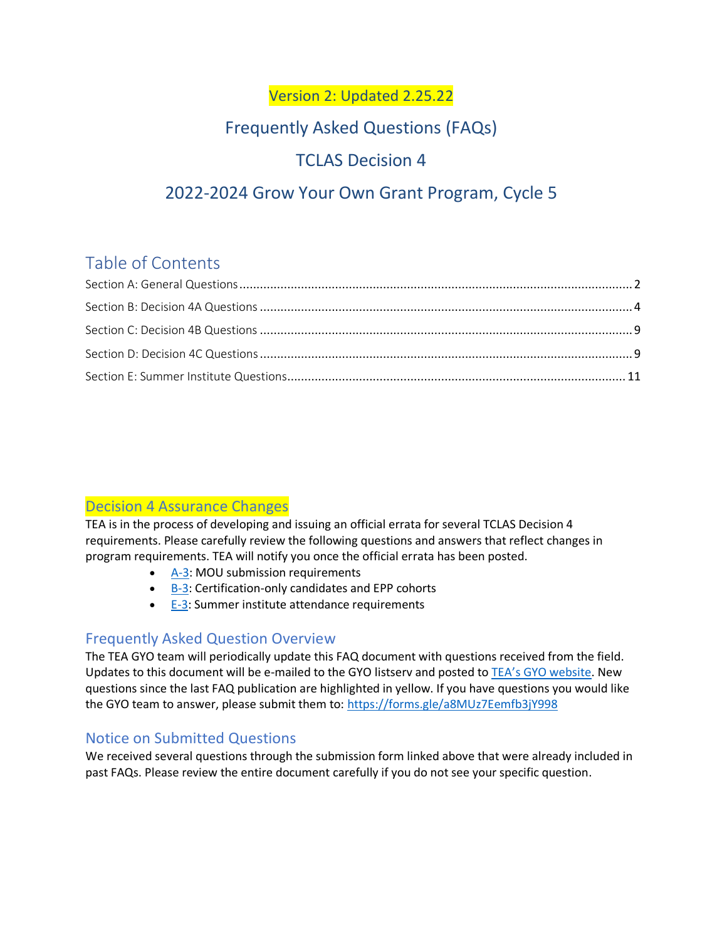Version 2: Updated 2.25.22 Frequently Asked Questions (FAQs) TCLAS Decision 4 2022-2024 Grow Your Own Grant Program, Cycle 5

# Table of Contents

## Decision 4 Assurance Changes

TEA is in the process of developing and issuing an official errata for several TCLAS Decision 4 requirements. Please carefully review the following questions and answers that reflect changes in program requirements. TEA will notify you once the official errata has been posted.

- [A-3:](bookmark://_Section_A:_General/) MOU submission requirements
- [B-3:](bookmark://_Section_B:_Decision/) Certification-only candidates and EPP cohorts
- [E-3:](bookmark://_Section_E:_Summer/) Summer institute attendance requirements

## Frequently Asked Question Overview

The TEA GYO team will periodically update this FAQ document with questions received from the field. Updates to this document will be e-mailed to the GYO listserv and posted to [TEA's GYO websit](https://tea.texas.gov/texas-educators/educator-initiatives-and-performance/grow-your-own)e. New questions since the last FAQ publication are highlighted in yellow. If you have questions you would like the GYO team to answer, please submit them to: <https://forms.gle/a8MUz7Eemfb3jY998>

## Notice on Submitted Questions

We received several questions through the submission form linked above that were already included in past FAQs. Please review the entire document carefully if you do not see your specific question.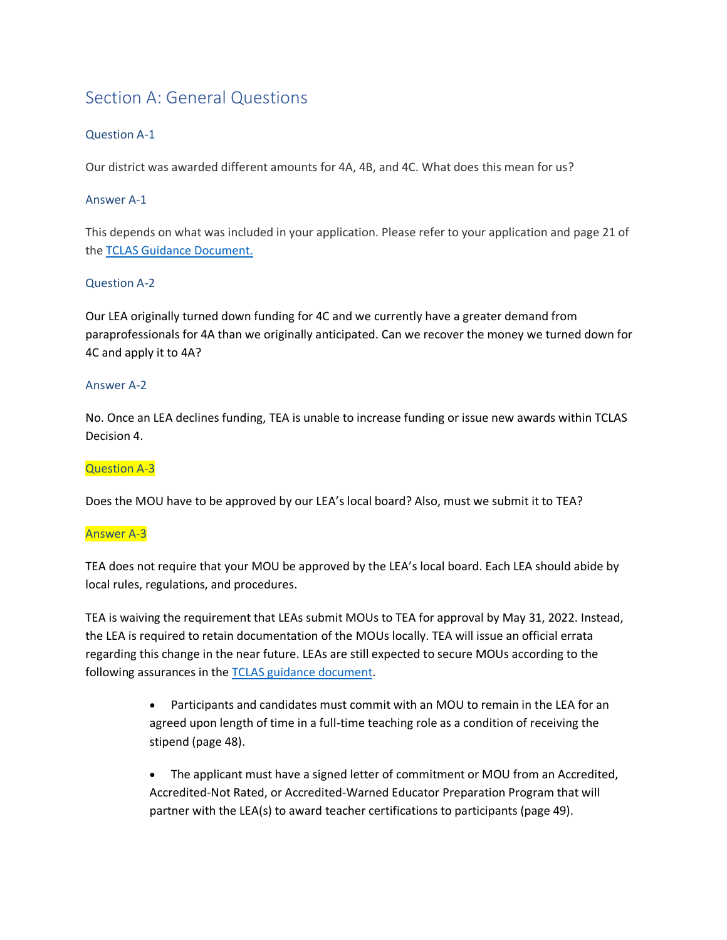# <span id="page-1-0"></span>Section A: General Questions

## Question A-1

Our district was awarded different amounts for 4A, 4B, and 4C. What does this mean for us?

## Answer A-1

This depends on what was included in your application. Please refer to your application and page 21 of the [TCLAS Guidance Document.](https://tea.texas.gov/sites/default/files/covid/TCLAS-Guidance-Document.pdf)

## Question A-2

Our LEA originally turned down funding for 4C and we currently have a greater demand from paraprofessionals for 4A than we originally anticipated. Can we recover the money we turned down for 4C and apply it to 4A?

#### Answer A-2

No. Once an LEA declines funding, TEA is unable to increase funding or issue new awards within TCLAS Decision 4.

## Question A-3

Does the MOU have to be approved by our LEA's local board? Also, must we submit it to TEA?

#### Answer A-3

TEA does not require that your MOU be approved by the LEA's local board. Each LEA should abide by local rules, regulations, and procedures.

TEA is waiving the requirement that LEAs submit MOUs to TEA for approval by May 31, 2022. Instead, the LEA is required to retain documentation of the MOUs locally. TEA will issue an official errata regarding this change in the near future. LEAs are still expected to secure MOUs according to the following assurances in the [TCLAS guidance document.](https://tea.texas.gov/sites/default/files/covid/TCLAS-Guidance-Document.pdf)

- Participants and candidates must commit with an MOU to remain in the LEA for an agreed upon length of time in a full-time teaching role as a condition of receiving the stipend (page 48).
- The applicant must have a signed letter of commitment or MOU from an Accredited, Accredited-Not Rated, or Accredited-Warned Educator Preparation Program that will partner with the LEA(s) to award teacher certifications to participants (page 49).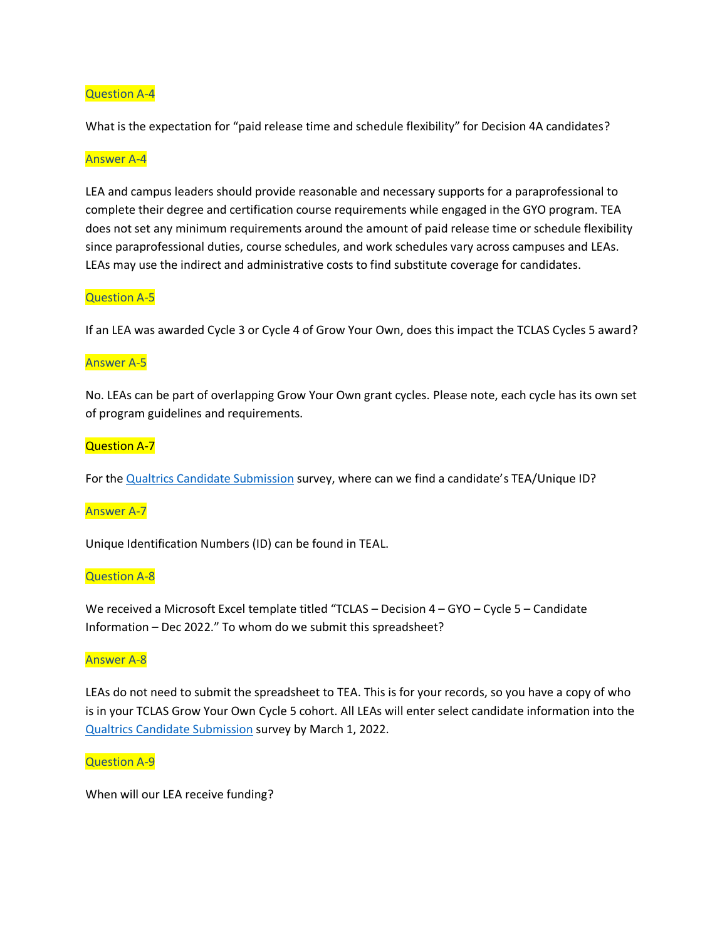## Question A-4

What is the expectation for "paid release time and schedule flexibility" for Decision 4A candidates?

#### Answer A-4

LEA and campus leaders should provide reasonable and necessary supports for a paraprofessional to complete their degree and certification course requirements while engaged in the GYO program. TEA does not set any minimum requirements around the amount of paid release time or schedule flexibility since paraprofessional duties, course schedules, and work schedules vary across campuses and LEAs. LEAs may use the indirect and administrative costs to find substitute coverage for candidates.

#### Question A-5

If an LEA was awarded Cycle 3 or Cycle 4 of Grow Your Own, does this impact the TCLAS Cycles 5 award?

#### Answer A-5

No. LEAs can be part of overlapping Grow Your Own grant cycles. Please note, each cycle has its own set of program guidelines and requirements.

#### Question A-7

For the **[Qualtrics Candidate Submission](https://tea.co1.qualtrics.com/jfe/form/SV_dhTOXaUyRRov2om)** survey, where can we find a candidate's TEA/Unique ID?

#### Answer A-7

Unique Identification Numbers (ID) can be found in TEAL.

#### Question A-8

We received a Microsoft Excel template titled "TCLAS - Decision 4 - GYO - Cycle 5 - Candidate Information – Dec 2022." To whom do we submit this spreadsheet?

#### Answer A-8

LEAs do not need to submit the spreadsheet to TEA. This is for your records, so you have a copy of who is in your TCLAS Grow Your Own Cycle 5 cohort. All LEAs will enter select candidate information into the [Qualtrics Candidate Submission](https://tea.co1.qualtrics.com/jfe/form/SV_dhTOXaUyRRov2om) survey by March 1, 2022.

#### Question A-9

When will our LEA receive funding?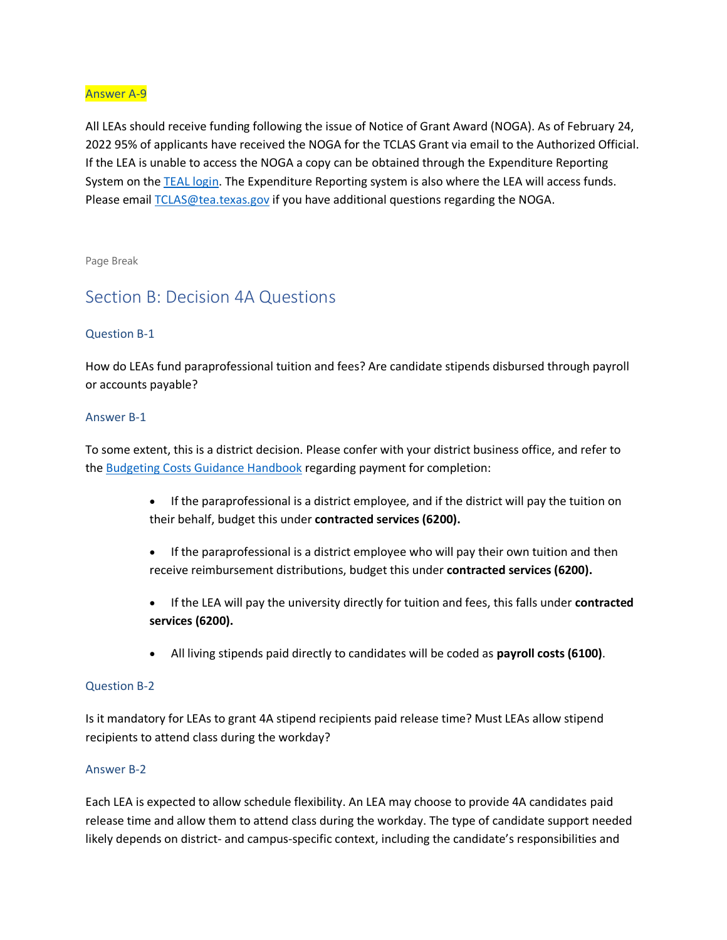## Answer A-9

All LEAs should receive funding following the issue of Notice of Grant Award (NOGA). As of February 24, 2022 95% of applicants have received the NOGA for the TCLAS Grant via email to the Authorized Official. If the LEA is unable to access the NOGA a copy can be obtained through the Expenditure Reporting System on the [TEAL login.](https://tealprod.tea.state.tx.us/TSP/TEASecurePortal/Access/LogonServlet) The Expenditure Reporting system is also where the LEA will access funds. Please email [TCLAS@tea.texas.gov](mailto:TCLAS@tea.texas.gov) if you have additional questions regarding the NOGA.

<span id="page-3-0"></span>Page Break

## Section B: Decision 4A Questions

## Question B-1

How do LEAs fund paraprofessional tuition and fees? Are candidate stipends disbursed through payroll or accounts payable?

#### Answer B-1

To some extent, this is a district decision. Please confer with your district business office, and refer to the [Budgeting Costs Guidance Handbook](https://tea.texas.gov/sites/default/files/budgeting_costs_guidance_handbook.pdf) regarding payment for completion:

- If the paraprofessional is a district employee, and if the district will pay the tuition on their behalf, budget this under **contracted services (6200).**
- If the paraprofessional is a district employee who will pay their own tuition and then receive reimbursement distributions, budget this under **contracted services (6200).**
- If the LEA will pay the university directly for tuition and fees, this falls under **contracted services (6200).**
- All living stipends paid directly to candidates will be coded as **payroll costs (6100)**.

## Question B-2

Is it mandatory for LEAs to grant 4A stipend recipients paid release time? Must LEAs allow stipend recipients to attend class during the workday?

#### Answer B-2

Each LEA is expected to allow schedule flexibility. An LEA may choose to provide 4A candidates paid release time and allow them to attend class during the workday. The type of candidate support needed likely depends on district- and campus-specific context, including the candidate's responsibilities and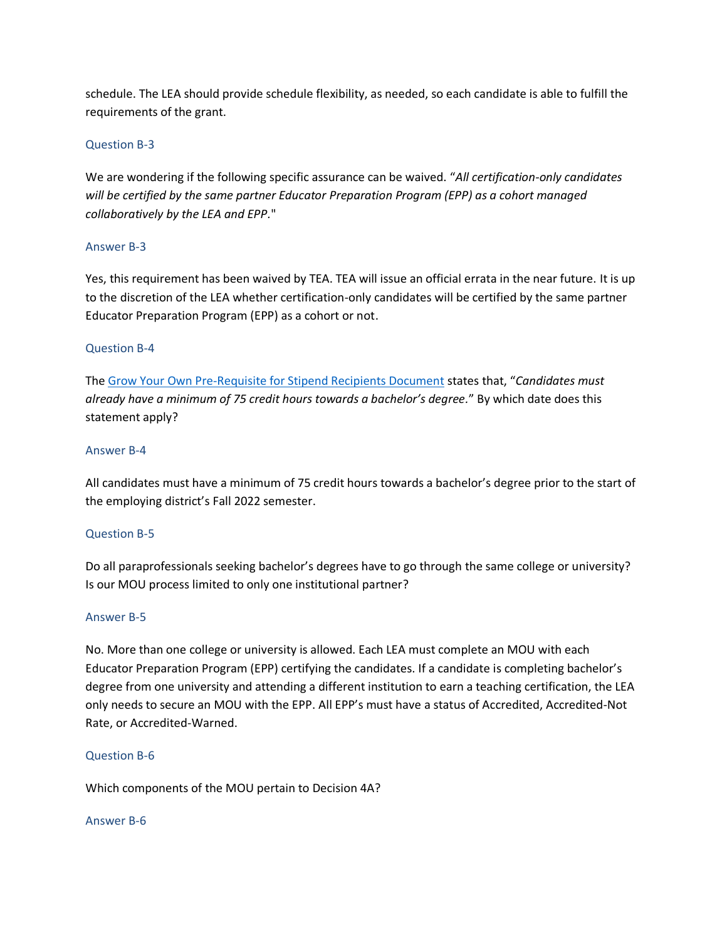schedule. The LEA should provide schedule flexibility, as needed, so each candidate is able to fulfill the requirements of the grant.

## Question B-3

We are wondering if the following specific assurance can be waived. "*All certification-only candidates will be certified by the same partner Educator Preparation Program (EPP) as a cohort managed collaboratively by the LEA and EPP.*"

## Answer B-3

Yes, this requirement has been waived by TEA. TEA will issue an official errata in the near future. It is up to the discretion of the LEA whether certification-only candidates will be certified by the same partner Educator Preparation Program (EPP) as a cohort or not.

## Question B-4

The [Grow Your Own Pre-Requisite for Stipend Recipients Document](https://tea.texas.gov/sites/default/files/gyo-stipend-recipient-pre-requisites.pdf) states that, "*Candidates must already have a minimum of 75 credit hours towards a bachelor's degree.*" By which date does this statement apply?

## Answer B-4

All candidates must have a minimum of 75 credit hours towards a bachelor's degree prior to the start of the employing district's Fall 2022 semester.

#### Question B-5

Do all paraprofessionals seeking bachelor's degrees have to go through the same college or university? Is our MOU process limited to only one institutional partner?

#### Answer B-5

No. More than one college or university is allowed. Each LEA must complete an MOU with each Educator Preparation Program (EPP) certifying the candidates. If a candidate is completing bachelor's degree from one university and attending a different institution to earn a teaching certification, the LEA only needs to secure an MOU with the EPP. All EPP's must have a status of Accredited, Accredited-Not Rate, or Accredited-Warned.

#### Question B-6

Which components of the MOU pertain to Decision 4A?

#### Answer B-6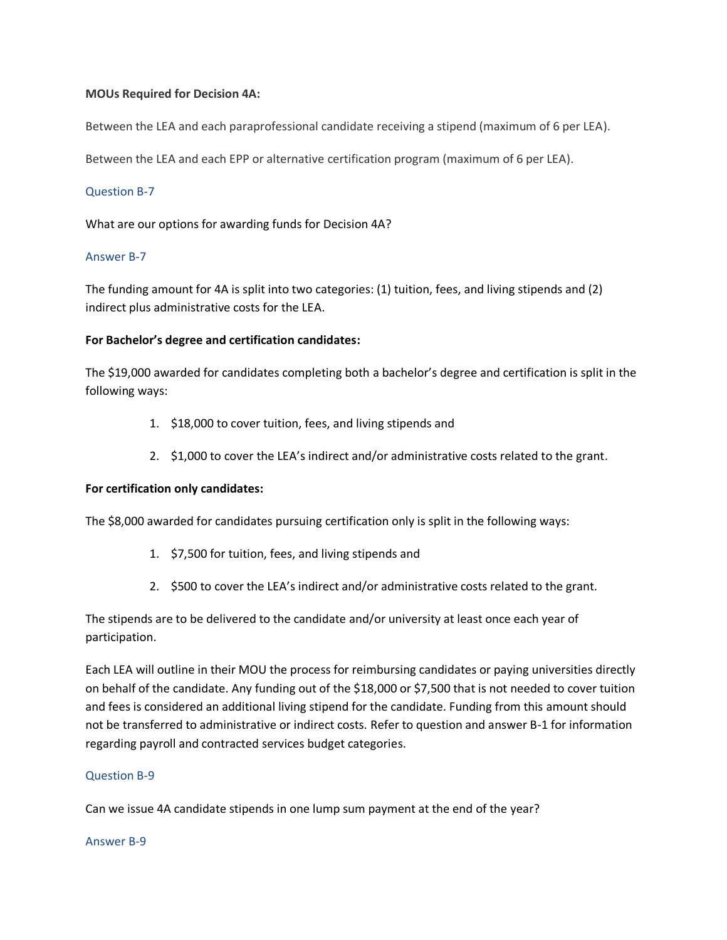## **MOUs Required for Decision 4A:**

Between the LEA and each paraprofessional candidate receiving a stipend (maximum of 6 per LEA).

Between the LEA and each EPP or alternative certification program (maximum of 6 per LEA).

#### Question B-7

What are our options for awarding funds for Decision 4A?

## Answer B-7

The funding amount for 4A is split into two categories: (1) tuition, fees, and living stipends and (2) indirect plus administrative costs for the LEA.

## **For Bachelor's degree and certification candidates:**

The \$19,000 awarded for candidates completing both a bachelor's degree and certification is split in the following ways:

- 1. \$18,000 to cover tuition, fees, and living stipends and
- 2. \$1,000 to cover the LEA's indirect and/or administrative costs related to the grant.

#### **For certification only candidates:**

The \$8,000 awarded for candidates pursuing certification only is split in the following ways:

- 1. \$7,500 for tuition, fees, and living stipends and
- 2. \$500 to cover the LEA's indirect and/or administrative costs related to the grant.

The stipends are to be delivered to the candidate and/or university at least once each year of participation.

Each LEA will outline in their MOU the process for reimbursing candidates or paying universities directly on behalf of the candidate. Any funding out of the \$18,000 or \$7,500 that is not needed to cover tuition and fees is considered an additional living stipend for the candidate. Funding from this amount should not be transferred to administrative or indirect costs. Refer to question and answer B-1 for information regarding payroll and contracted services budget categories.

## Question B-9

Can we issue 4A candidate stipends in one lump sum payment at the end of the year?

#### Answer B-9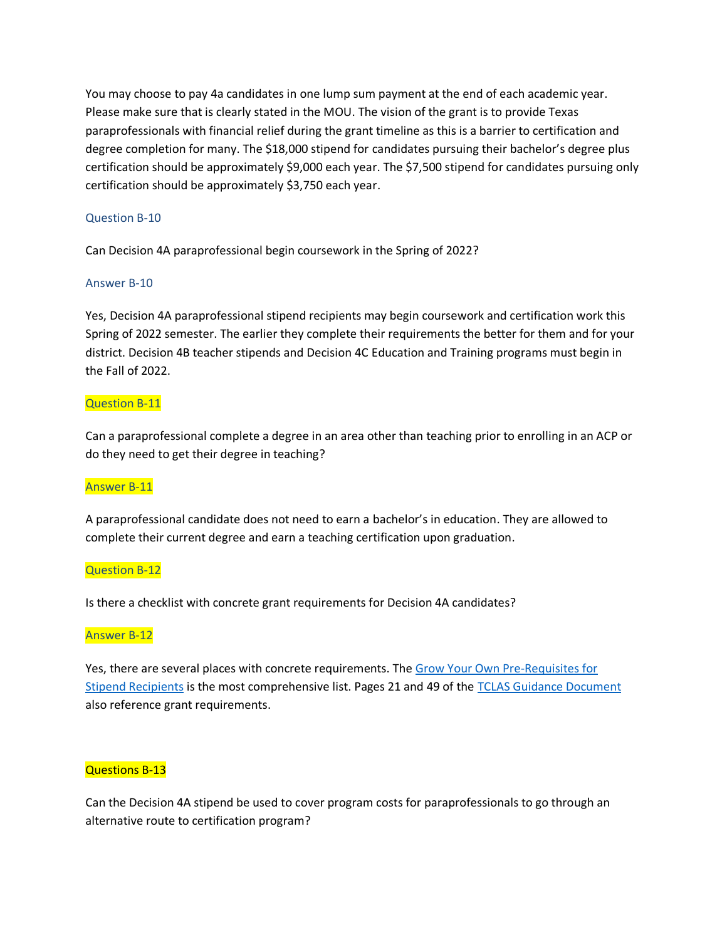You may choose to pay 4a candidates in one lump sum payment at the end of each academic year. Please make sure that is clearly stated in the MOU. The vision of the grant is to provide Texas paraprofessionals with financial relief during the grant timeline as this is a barrier to certification and degree completion for many. The \$18,000 stipend for candidates pursuing their bachelor's degree plus certification should be approximately \$9,000 each year. The \$7,500 stipend for candidates pursuing only certification should be approximately \$3,750 each year.

## Question B-10

Can Decision 4A paraprofessional begin coursework in the Spring of 2022?

## Answer B-10

Yes, Decision 4A paraprofessional stipend recipients may begin coursework and certification work this Spring of 2022 semester. The earlier they complete their requirements the better for them and for your district. Decision 4B teacher stipends and Decision 4C Education and Training programs must begin in the Fall of 2022.

## Question B-11

Can a paraprofessional complete a degree in an area other than teaching prior to enrolling in an ACP or do they need to get their degree in teaching?

## Answer B-11

A paraprofessional candidate does not need to earn a bachelor's in education. They are allowed to complete their current degree and earn a teaching certification upon graduation.

#### Question B-12

Is there a checklist with concrete grant requirements for Decision 4A candidates?

#### Answer B-12

Yes, there are several places with concrete requirements. The [Grow Your Own Pre-Requisites for](https://tea.texas.gov/sites/default/files/gyo-stipend-recipient-pre-requisites.pdf)  [Stipend Recipients](https://tea.texas.gov/sites/default/files/gyo-stipend-recipient-pre-requisites.pdf) is the most comprehensive list. Pages 21 and 49 of the [TCLAS Guidance Document](https://tea.texas.gov/sites/default/files/covid/TCLAS-Guidance-Document.pdf) also reference grant requirements.

## Questions B-13

Can the Decision 4A stipend be used to cover program costs for paraprofessionals to go through an alternative route to certification program?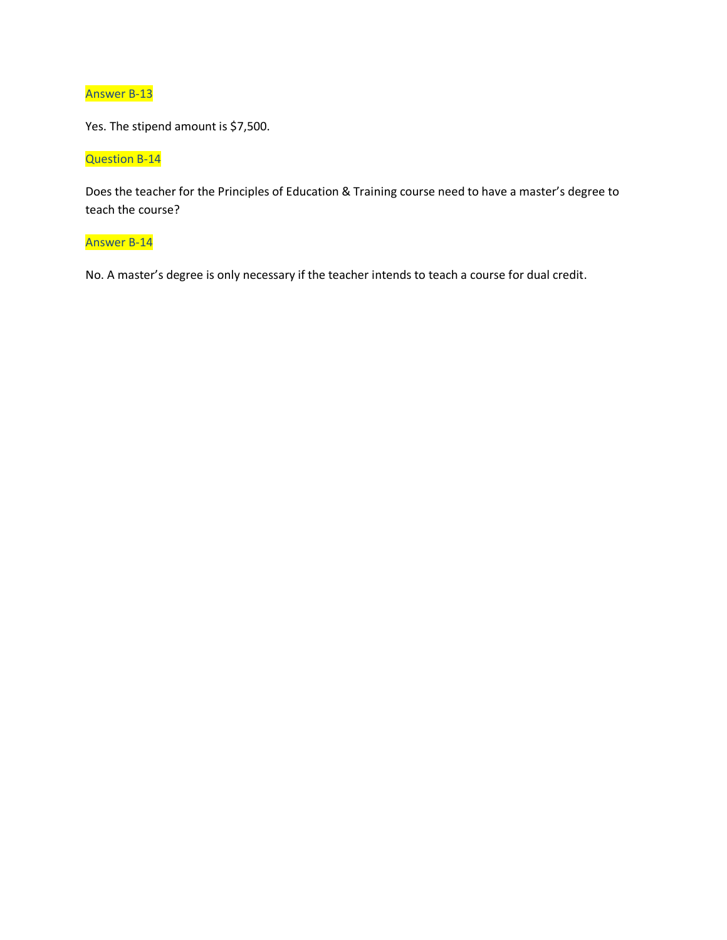Answer B-13

Yes. The stipend amount is \$7,500.

Question B-14

Does the teacher for the Principles of Education & Training course need to have a master's degree to teach the course?

Answer B-14

No. A master's degree is only necessary if the teacher intends to teach a course for dual credit.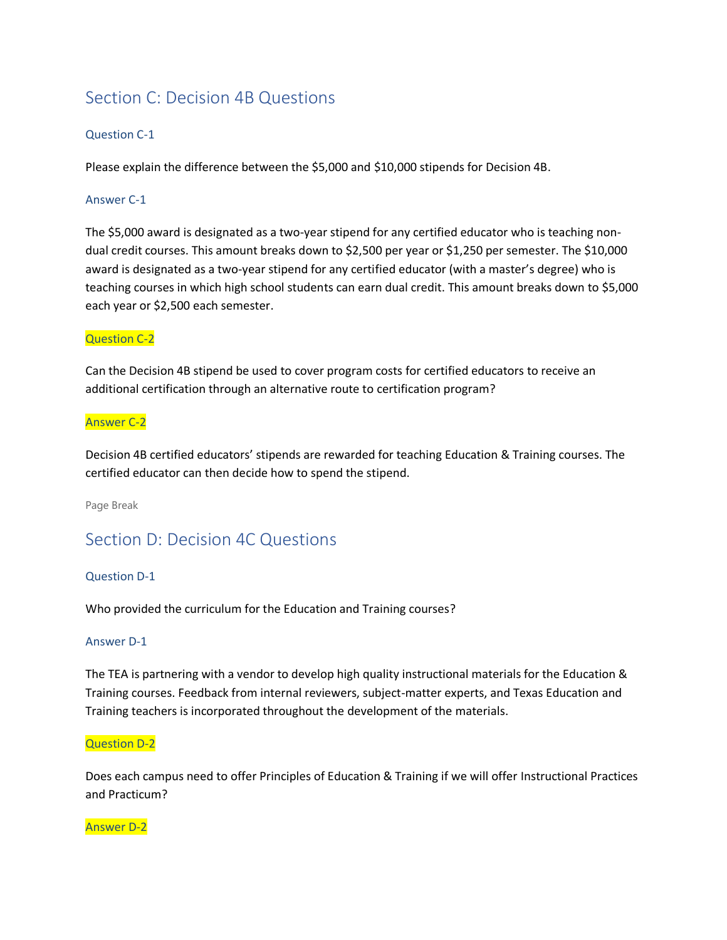# <span id="page-8-0"></span>Section C: Decision 4B Questions

## Question C-1

Please explain the difference between the \$5,000 and \$10,000 stipends for Decision 4B.

## Answer C-1

The \$5,000 award is designated as a two-year stipend for any certified educator who is teaching nondual credit courses. This amount breaks down to \$2,500 per year or \$1,250 per semester. The \$10,000 award is designated as a two-year stipend for any certified educator (with a master's degree) who is teaching courses in which high school students can earn dual credit. This amount breaks down to \$5,000 each year or \$2,500 each semester.

## Question C-2

Can the Decision 4B stipend be used to cover program costs for certified educators to receive an additional certification through an alternative route to certification program?

## Answer C-2

Decision 4B certified educators' stipends are rewarded for teaching Education & Training courses. The certified educator can then decide how to spend the stipend.

<span id="page-8-1"></span>Page Break

# Section D: Decision 4C Questions

## Question D-1

Who provided the curriculum for the Education and Training courses?

#### Answer D-1

The TEA is partnering with a vendor to develop high quality instructional materials for the Education & Training courses. Feedback from internal reviewers, subject-matter experts, and Texas Education and Training teachers is incorporated throughout the development of the materials.

#### Question D-2

Does each campus need to offer Principles of Education & Training if we will offer Instructional Practices and Practicum?

#### Answer D-2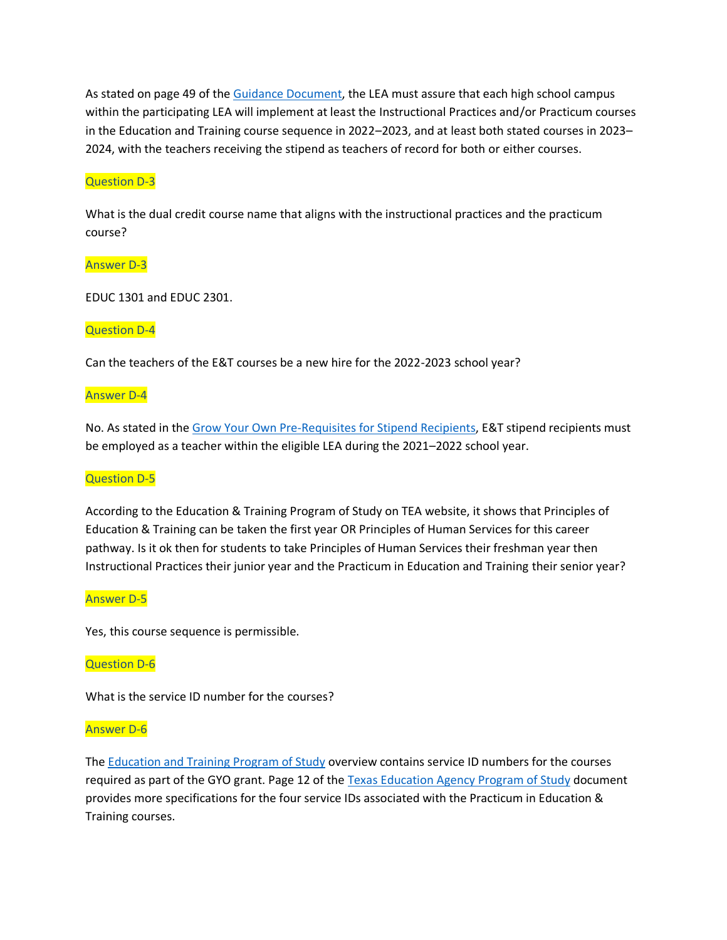As stated on page 49 of the [Guidance Document,](https://tea.texas.gov/sites/default/files/covid/TCLAS-Guidance-Document.pdf) the LEA must assure that each high school campus within the participating LEA will implement at least the Instructional Practices and/or Practicum courses in the Education and Training course sequence in 2022–2023, and at least both stated courses in 2023– 2024, with the teachers receiving the stipend as teachers of record for both or either courses.

#### Question D-3

What is the dual credit course name that aligns with the instructional practices and the practicum course?

## Answer D-3

EDUC 1301 and EDUC 2301.

## Question D-4

Can the teachers of the E&T courses be a new hire for the 2022-2023 school year?

#### Answer D-4

No. As stated in the [Grow Your Own Pre-Requisites for Stipend Recipients,](https://tea.texas.gov/sites/default/files/gyo-stipend-recipient-pre-requisites.pdf) E&T stipend recipients must be employed as a teacher within the eligible LEA during the 2021–2022 school year.

#### Question D-5

According to the Education & Training Program of Study on TEA website, it shows that Principles of Education & Training can be taken the first year OR Principles of Human Services for this career pathway. Is it ok then for students to take Principles of Human Services their freshman year then Instructional Practices their junior year and the Practicum in Education and Training their senior year?

#### Answer D-5

Yes, this course sequence is permissible.

#### Question D-6

What is the service ID number for the courses?

#### Answer D-6

The [Education and Training Program of Study](https://tea.texas.gov/sites/default/files/TeachingTraining-ProgramOfStudy2020.pdf) overview contains service ID numbers for the courses required as part of the GYO grant. Page 12 of the [Texas Education Agency Program of Study](https://tea.texas.gov/sites/default/files/Statewide%20Programs%20of%20Study%20At%20a%20Glance%20Accessible_July_2020.pdf) document provides more specifications for the four service IDs associated with the Practicum in Education & Training courses.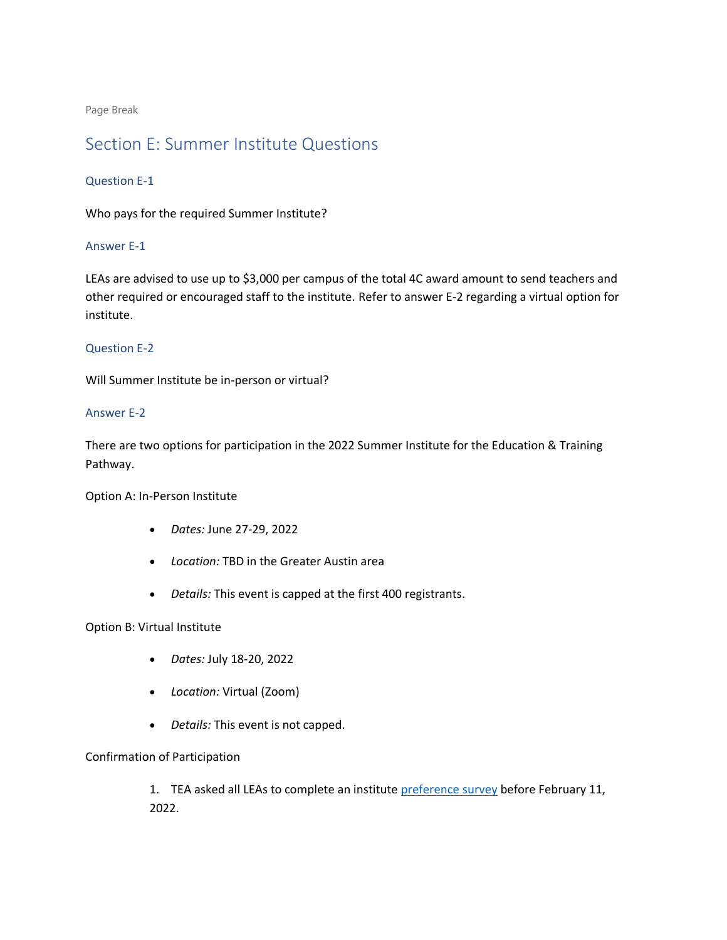<span id="page-10-0"></span>Page Break

## Section E: Summer Institute Questions

#### Question E-1

Who pays for the required Summer Institute?

## Answer E-1

LEAs are advised to use up to \$3,000 per campus of the total 4C award amount to send teachers and other required or encouraged staff to the institute. Refer to answer E-2 regarding a virtual option for institute.

## Question E-2

Will Summer Institute be in-person or virtual?

## Answer E-2

There are two options for participation in the 2022 Summer Institute for the Education & Training Pathway.

Option A: In-Person Institute

- *Dates:* June 27-29, 2022
- *Location:* TBD in the Greater Austin area
- *Details:* This event is capped at the first 400 registrants.

## Option B: Virtual Institute

- *Dates:* July 18-20, 2022
- *Location:* Virtual (Zoom)
- *Details:* This event is not capped.

## Confirmation of Participation

1. TEA asked all LEAs to complete an institute [preference survey](https://forms.gle/7hwU716Fv2RmkeFg6) before February 11, 2022.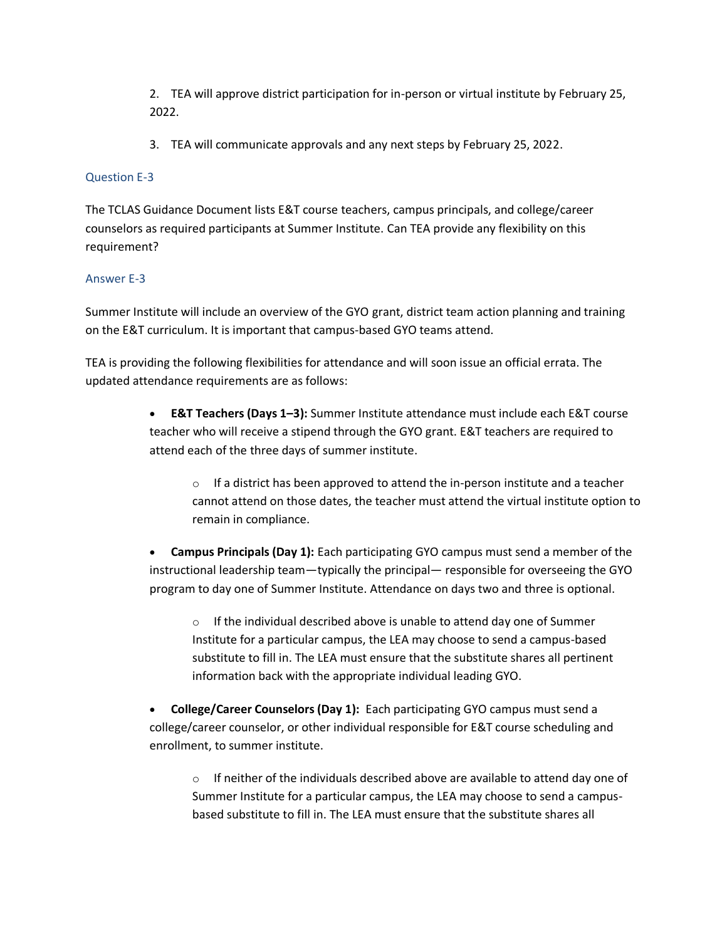2. TEA will approve district participation for in-person or virtual institute by February 25, 2022.

3. TEA will communicate approvals and any next steps by February 25, 2022.

## Question E-3

The TCLAS Guidance Document lists E&T course teachers, campus principals, and college/career counselors as required participants at Summer Institute. Can TEA provide any flexibility on this requirement?

## Answer E-3

Summer Institute will include an overview of the GYO grant, district team action planning and training on the E&T curriculum. It is important that campus-based GYO teams attend.

TEA is providing the following flexibilities for attendance and will soon issue an official errata. The updated attendance requirements are as follows:

> • **E&T Teachers (Days 1–3):** Summer Institute attendance must include each E&T course teacher who will receive a stipend through the GYO grant. E&T teachers are required to attend each of the three days of summer institute.

o If a district has been approved to attend the in-person institute and a teacher cannot attend on those dates, the teacher must attend the virtual institute option to remain in compliance.

• **Campus Principals (Day 1):** Each participating GYO campus must send a member of the instructional leadership team—typically the principal— responsible for overseeing the GYO program to day one of Summer Institute. Attendance on days two and three is optional.

o If the individual described above is unable to attend day one of Summer Institute for a particular campus, the LEA may choose to send a campus-based substitute to fill in. The LEA must ensure that the substitute shares all pertinent information back with the appropriate individual leading GYO.

• **College/Career Counselors (Day 1):** Each participating GYO campus must send a college/career counselor, or other individual responsible for E&T course scheduling and enrollment, to summer institute.

 $\circ$  If neither of the individuals described above are available to attend day one of Summer Institute for a particular campus, the LEA may choose to send a campusbased substitute to fill in. The LEA must ensure that the substitute shares all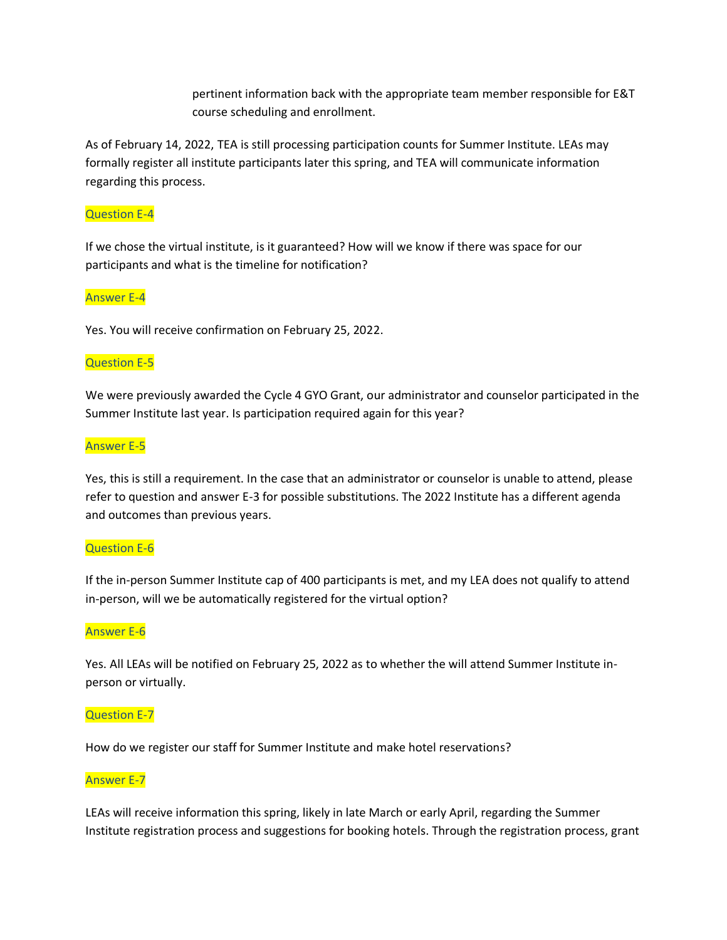pertinent information back with the appropriate team member responsible for E&T course scheduling and enrollment.

As of February 14, 2022, TEA is still processing participation counts for Summer Institute. LEAs may formally register all institute participants later this spring, and TEA will communicate information regarding this process.

## Question E-4

If we chose the virtual institute, is it guaranteed? How will we know if there was space for our participants and what is the timeline for notification?

## Answer E-4

Yes. You will receive confirmation on February 25, 2022.

## Question E-5

We were previously awarded the Cycle 4 GYO Grant, our administrator and counselor participated in the Summer Institute last year. Is participation required again for this year?

#### Answer E-5

Yes, this is still a requirement. In the case that an administrator or counselor is unable to attend, please refer to question and answer E-3 for possible substitutions. The 2022 Institute has a different agenda and outcomes than previous years.

#### Question E-6

If the in-person Summer Institute cap of 400 participants is met, and my LEA does not qualify to attend in-person, will we be automatically registered for the virtual option?

#### Answer E-6

Yes. All LEAs will be notified on February 25, 2022 as to whether the will attend Summer Institute inperson or virtually.

#### Question E-7

How do we register our staff for Summer Institute and make hotel reservations?

## Answer E-7

LEAs will receive information this spring, likely in late March or early April, regarding the Summer Institute registration process and suggestions for booking hotels. Through the registration process, grant